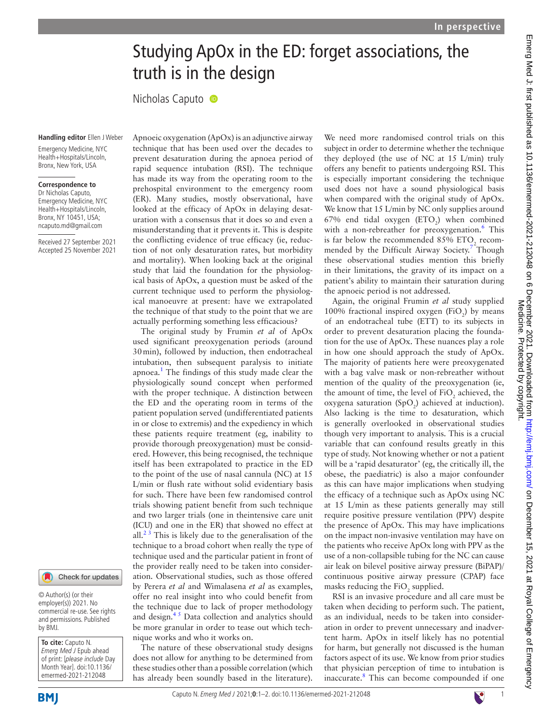# Studying ApOx in the ED: forget associations, the truth is in the design

Nicholas Caputo <sup>®</sup>

#### **Handling editor** Ellen J Weber

Emergency Medicine, NYC Health+Hospitals/Lincoln Bronx, New York, USA

#### **Correspondence to**

Dr Nicholas Caputo, Emergency Medicine, NYC Health+Hospitals/Lincoln, Bronx, NY 10451, USA; ncaputo.md@gmail.com

Received 27 September 2021 Accepted 25 November 2021



© Author(s) (or their employer(s)) 2021. No commercial re-use. See rights and permissions. Published by BMJ.

**To cite:** Caputo N. Emerg Med J Epub ahead of print: [please include Day Month Year]. doi:10.1136/ emermed-2021-212048

Apnoeic oxygenation (ApOx) is an adjunctive airway technique that has been used over the decades to prevent desaturation during the apnoea period of rapid sequence intubation (RSI). The technique has made its way from the operating room to the prehospital environment to the emergency room (ER). Many studies, mostly observational, have looked at the efficacy of ApOx in delaying desaturation with a consensus that it does so and even a misunderstanding that it prevents it. This is despite the conflicting evidence of true efficacy (ie, reduction of not only desaturation rates, but morbidity and mortality). When looking back at the original study that laid the foundation for the physiological basis of ApOx, a question must be asked of the current technique used to perform the physiological manoeuvre at present: have we extrapolated the technique of that study to the point that we are actually performing something less efficacious?

The original study by Frumin *et al* of ApOx used significant preoxygenation periods (around 30min), followed by induction, then endotracheal intubation, then subsequent paralysis to initiate apnoea.<sup>[1](#page-1-0)</sup> The findings of this study made clear the physiologically sound concept when performed with the proper technique. A distinction between the ED and the operating room in terms of the patient population served (undifferentiated patients in or close to extremis) and the expediency in which these patients require treatment (eg, inability to provide thorough preoxygenation) must be considered. However, this being recognised, the technique itself has been extrapolated to practice in the ED to the point of the use of nasal cannula (NC) at 15 L/min or flush rate without solid evidentiary basis for such. There have been few randomised control trials showing patient benefit from such technique and two larger trials (one in theintensive care unit (ICU) and one in the ER) that showed no effect at all. $2<sup>3</sup>$  This is likely due to the generalisation of the technique to a broad cohort when really the type of technique used and the particular patient in front of the provider really need to be taken into consideration. Observational studies, such as those offered by Perera *et al* and Wimalasena *et al* as examples, offer no real insight into who could benefit from the technique due to lack of proper methodology and design. $4<sup>5</sup>$  Data collection and analytics should be more granular in order to tease out which technique works and who it works on.

The nature of these observational study designs does not allow for anything to be determined from these studies other than a possible correlation (which has already been soundly based in the literature).

We need more randomised control trials on this subject in order to determine whether the technique they deployed (the use of NC at 15 L/min) truly offers any benefit to patients undergoing RSI. This is especially important considering the technique used does not have a sound physiological basis when compared with the original study of ApOx. We know that 15 L/min by NC only supplies around 67% end tidal oxygen  $(ETO<sub>2</sub>)$  when combined with a non-rebreather for preoxygenation.<sup>[6](#page-1-3)</sup> This is far below the recommended 85%  $ETO<sub>2</sub>$  recom-mended by the Difficult Airway Society.<sup>[7](#page-1-4)</sup> Though these observational studies mention this briefly in their limitations, the gravity of its impact on a patient's ability to maintain their saturation during the apnoeic period is not addressed.

Again, the original Frumin *et al* study supplied 100% fractional inspired oxygen ( $FiO_2$ ) by means of an endotracheal tube (ETT) to its subjects in order to prevent desaturation placing the foundation for the use of ApOx. These nuances play a role in how one should approach the study of ApOx. The majority of patients here were preoxygenated with a bag valve mask or non-rebreather without mention of the quality of the preoxygenation (ie, the amount of time, the level of  $FiO_2$  achieved, the oxygena saturation  $(SpO<sub>2</sub>)$  achieved at induction). Also lacking is the time to desaturation, which is generally overlooked in observational studies though very important to analysis. This is a crucial variable that can confound results greatly in this type of study. Not knowing whether or not a patient will be a 'rapid desaturator' (eg, the critically ill, the obese, the paediatric) is also a major confounder as this can have major implications when studying the efficacy of a technique such as ApOx using NC at 15 L/min as these patients generally may still require positive pressure ventilation (PPV) despite the presence of ApOx. This may have implications on the impact non-invasive ventilation may have on the patients who receive ApOx long with PPV as the use of a non-collapsible tubing for the NC can cause air leak on bilevel positive airway pressure (BiPAP)/ continuous positive airway pressure (CPAP) face masks reducing the  $FiO_2$  supplied.

RSI is an invasive procedure and all care must be taken when deciding to perform such. The patient, as an individual, needs to be taken into consideration in order to prevent unnecessary and inadvertent harm. ApOx in itself likely has no potential for harm, but generally not discussed is the human factors aspect of its use. We know from prior studies that physician perception of time to intubation is inaccurate.[8](#page-1-5) This can become compounded if one

**BMI**